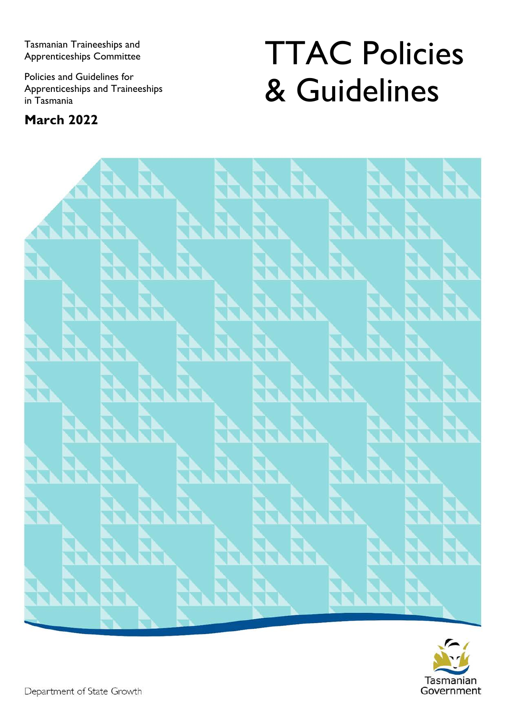Tasmanian Traineeships and Apprenticeships Committee

Policies and Guidelines for Apprenticeships and Traineeships in Tasmania

### **March 2022**

# TTAC Policies & Guidelines



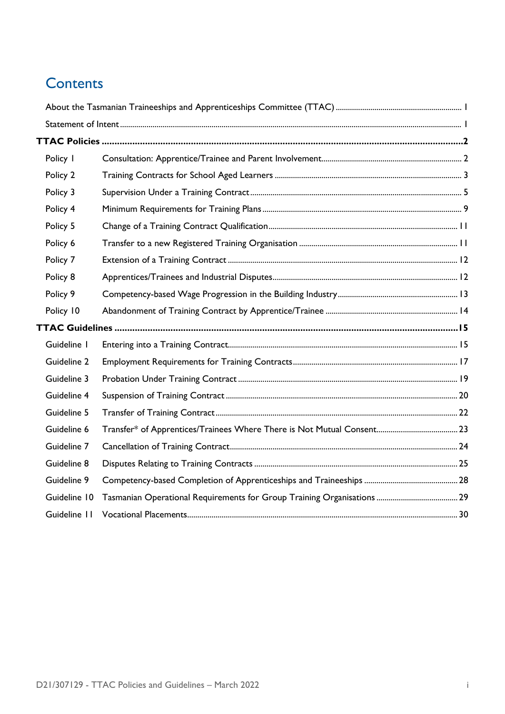### **Contents**

| Policy I     |  |
|--------------|--|
| Policy 2     |  |
| Policy 3     |  |
| Policy 4     |  |
| Policy 5     |  |
| Policy 6     |  |
| Policy 7     |  |
| Policy 8     |  |
| Policy 9     |  |
| Policy 10    |  |
|              |  |
| Guideline I  |  |
| Guideline 2  |  |
| Guideline 3  |  |
| Guideline 4  |  |
| Guideline 5  |  |
| Guideline 6  |  |
| Guideline 7  |  |
| Guideline 8  |  |
| Guideline 9  |  |
| Guideline 10 |  |
| Guideline 11 |  |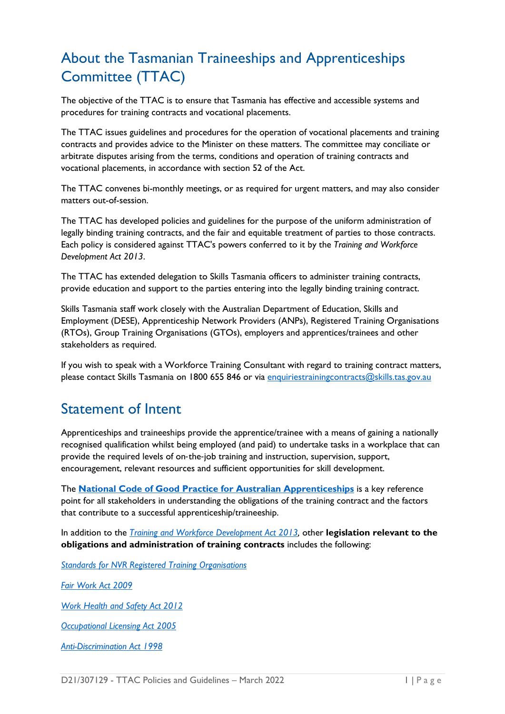### <span id="page-2-0"></span>About the Tasmanian Traineeships and Apprenticeships Committee (TTAC)

The objective of the TTAC is to ensure that Tasmania has effective and accessible systems and procedures for training contracts and vocational placements.

The TTAC issues guidelines and procedures for the operation of vocational placements and training contracts and provides advice to the Minister on these matters. The committee may conciliate or arbitrate disputes arising from the terms, conditions and operation of training contracts and vocational placements, in accordance with section 52 of the Act.

The TTAC convenes bi-monthly meetings, or as required for urgent matters, and may also consider matters out-of-session.

The TTAC has developed policies and guidelines for the purpose of the uniform administration of legally binding training contracts, and the fair and equitable treatment of parties to those contracts. Each policy is considered against TTAC's powers conferred to it by the *Training and Workforce Development Act 2013*.

The TTAC has extended delegation to Skills Tasmania officers to administer training contracts, provide education and support to the parties entering into the legally binding training contract.

Skills Tasmania staff work closely with the Australian Department of Education, Skills and Employment (DESE), Apprenticeship Network Providers (ANPs), Registered Training Organisations (RTOs), Group Training Organisations (GTOs), employers and apprentices/trainees and other stakeholders as required.

If you wish to speak with a Workforce Training Consultant with regard to training contract matters, please contact Skills Tasmania on 1800 655 846 or via [enquiriestrainingcontracts@skills.tas.gov.au](mailto:enquiriestrainingcontracts@skills.tas.gov.au)

### <span id="page-2-1"></span>Statement of Intent

Apprenticeships and traineeships provide the apprentice/trainee with a means of gaining a nationally recognised qualification whilst being employed (and paid) to undertake tasks in a workplace that can provide the required levels of on‐the‐job training and instruction, supervision, support, encouragement, relevant resources and sufficient opportunities for skill development.

The **[National Code of Good Practice for Australian Apprenticeships](https://www.australianapprenticeships.gov.au/about-aasn)** is a key reference point for all stakeholders in understanding the obligations of the training contract and the factors that contribute to a successful apprenticeship/traineeship.

In addition to the *[Training and Workforce Development Act 2013,](https://www.legislation.tas.gov.au/view/html/inforce/current/act-2013-009)* other **legislation relevant to the obligations and administration of training contracts** includes the following:

*[Standards for NVR Registered Training Organisations](https://www.legislation.gov.au/Details/F2013L00167)*

*[Fair Work Act 2009](https://www.legislation.gov.au/Details/C2017C00323)*

*[Work Health and Safety Act 2012](https://www.legislation.tas.gov.au/view/html/inforce/current/act-2012-001)*

*[Occupational Licensing Act 2005](https://www.legislation.tas.gov.au/view/html/inforce/2017-01-01/act-2005-047)*

*[Anti-Discrimination Act 1998](https://www.legislation.tas.gov.au/view/html/inforce/current/act-1998-046)*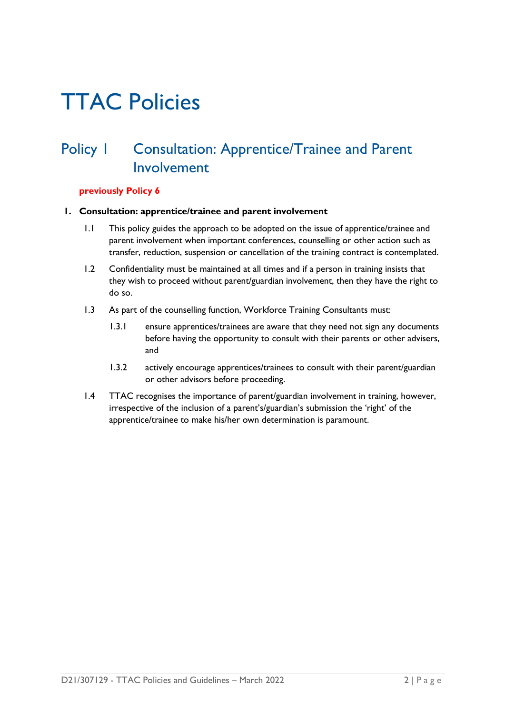## <span id="page-3-0"></span>TTAC Policies

### <span id="page-3-1"></span>Policy I Consultation: Apprentice/Trainee and Parent Involvement

### **previously Policy 6**

#### **1. Consultation: apprentice/trainee and parent involvement**

- 1.1 This policy guides the approach to be adopted on the issue of apprentice/trainee and parent involvement when important conferences, counselling or other action such as transfer, reduction, suspension or cancellation of the training contract is contemplated.
- 1.2 Confidentiality must be maintained at all times and if a person in training insists that they wish to proceed without parent/guardian involvement, then they have the right to do so.
- 1.3 As part of the counselling function, Workforce Training Consultants must:
	- 1.3.1 ensure apprentices/trainees are aware that they need not sign any documents before having the opportunity to consult with their parents or other advisers, and
	- 1.3.2 actively encourage apprentices/trainees to consult with their parent/guardian or other advisors before proceeding.
- 1.4 TTAC recognises the importance of parent/guardian involvement in training, however, irrespective of the inclusion of a parent's/guardian's submission the 'right' of the apprentice/trainee to make his/her own determination is paramount.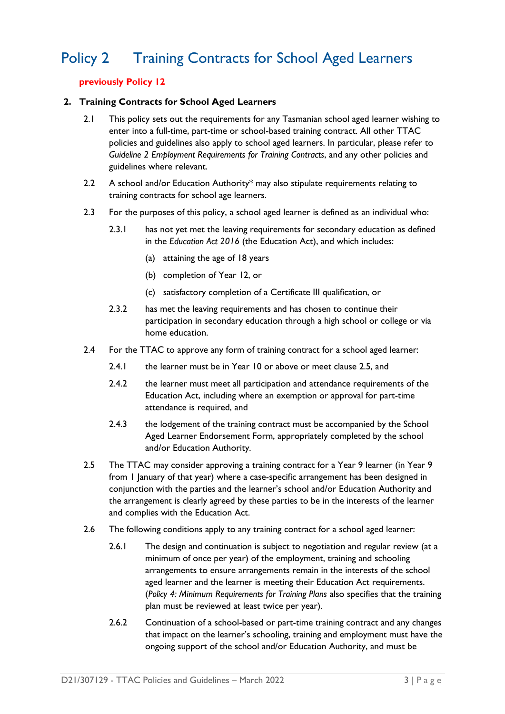### <span id="page-4-0"></span>Policy 2 Training Contracts for School Aged Learners

### **previously Policy 12**

#### **2. Training Contracts for School Aged Learners**

- 2.1 This policy sets out the requirements for any Tasmanian school aged learner wishing to enter into a full-time, part-time or school-based training contract. All other TTAC policies and guidelines also apply to school aged learners. In particular, please refer to *Guideline 2 Employment Requirements for Training Contracts*, and any other policies and guidelines where relevant.
- 2.2 A school and/or Education Authority\* may also stipulate requirements relating to training contracts for school age learners.
- 2.3 For the purposes of this policy, a school aged learner is defined as an individual who:
	- 2.3.1 has not yet met the leaving requirements for secondary education as defined in the *Education Act 2016* (the Education Act), and which includes:
		- (a) attaining the age of 18 years
		- (b) completion of Year 12, or
		- (c) satisfactory completion of a Certificate III qualification, or
	- 2.3.2 has met the leaving requirements and has chosen to continue their participation in secondary education through a high school or college or via home education.
- 2.4 For the TTAC to approve any form of training contract for a school aged learner:
	- 2.4.1 the learner must be in Year 10 or above or meet clause 2.5, and
	- 2.4.2 the learner must meet all participation and attendance requirements of the Education Act, including where an exemption or approval for part-time attendance is required, and
	- 2.4.3 the lodgement of the training contract must be accompanied by the School Aged Learner Endorsement Form, appropriately completed by the school and/or Education Authority.
- 2.5 The TTAC may consider approving a training contract for a Year 9 learner (in Year 9 from I January of that year) where a case-specific arrangement has been designed in conjunction with the parties and the learner's school and/or Education Authority and the arrangement is clearly agreed by these parties to be in the interests of the learner and complies with the Education Act.
- 2.6 The following conditions apply to any training contract for a school aged learner:
	- 2.6.1 The design and continuation is subject to negotiation and regular review (at a minimum of once per year) of the employment, training and schooling arrangements to ensure arrangements remain in the interests of the school aged learner and the learner is meeting their Education Act requirements. (*Policy 4: Minimum Requirements for Training Plans* also specifies that the training plan must be reviewed at least twice per year).
	- 2.6.2 Continuation of a school-based or part-time training contract and any changes that impact on the learner's schooling, training and employment must have the ongoing support of the school and/or Education Authority, and must be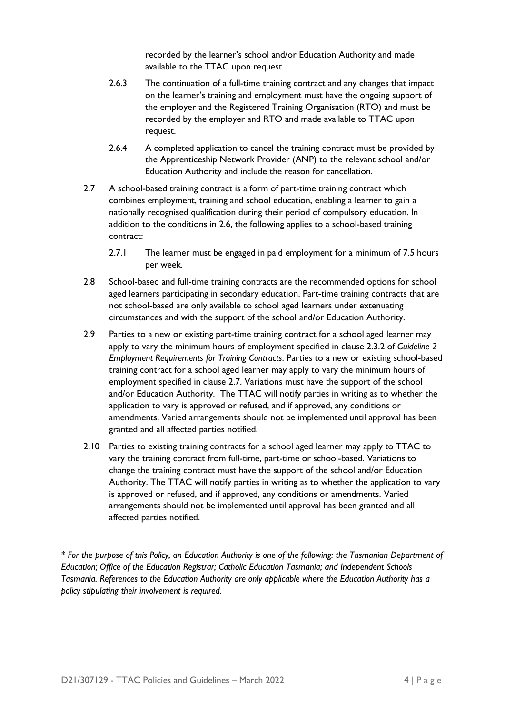recorded by the learner's school and/or Education Authority and made available to the TTAC upon request.

- 2.6.3 The continuation of a full-time training contract and any changes that impact on the learner's training and employment must have the ongoing support of the employer and the Registered Training Organisation (RTO) and must be recorded by the employer and RTO and made available to TTAC upon request.
- 2.6.4 A completed application to cancel the training contract must be provided by the Apprenticeship Network Provider (ANP) to the relevant school and/or Education Authority and include the reason for cancellation.
- 2.7 A school-based training contract is a form of part-time training contract which combines employment, training and school education, enabling a learner to gain a nationally recognised qualification during their period of compulsory education. In addition to the conditions in 2.6, the following applies to a school-based training contract:
	- 2.7.1 The learner must be engaged in paid employment for a minimum of 7.5 hours per week.
- 2.8 School-based and full-time training contracts are the recommended options for school aged learners participating in secondary education. Part-time training contracts that are not school-based are only available to school aged learners under extenuating circumstances and with the support of the school and/or Education Authority.
- 2.9 Parties to a new or existing part-time training contract for a school aged learner may apply to vary the minimum hours of employment specified in clause 2.3.2 of *Guideline 2 Employment Requirements for Training Contracts*. Parties to a new or existing school-based training contract for a school aged learner may apply to vary the minimum hours of employment specified in clause 2.7. Variations must have the support of the school and/or Education Authority. The TTAC will notify parties in writing as to whether the application to vary is approved or refused, and if approved, any conditions or amendments. Varied arrangements should not be implemented until approval has been granted and all affected parties notified.
- 2.10 Parties to existing training contracts for a school aged learner may apply to TTAC to vary the training contract from full-time, part-time or school-based. Variations to change the training contract must have the support of the school and/or Education Authority. The TTAC will notify parties in writing as to whether the application to vary is approved or refused, and if approved, any conditions or amendments. Varied arrangements should not be implemented until approval has been granted and all affected parties notified.

*\* For the purpose of this Policy, an Education Authority is one of the following: the Tasmanian Department of Education; Office of the Education Registrar; Catholic Education Tasmania; and Independent Schools Tasmania. References to the Education Authority are only applicable where the Education Authority has a policy stipulating their involvement is required.*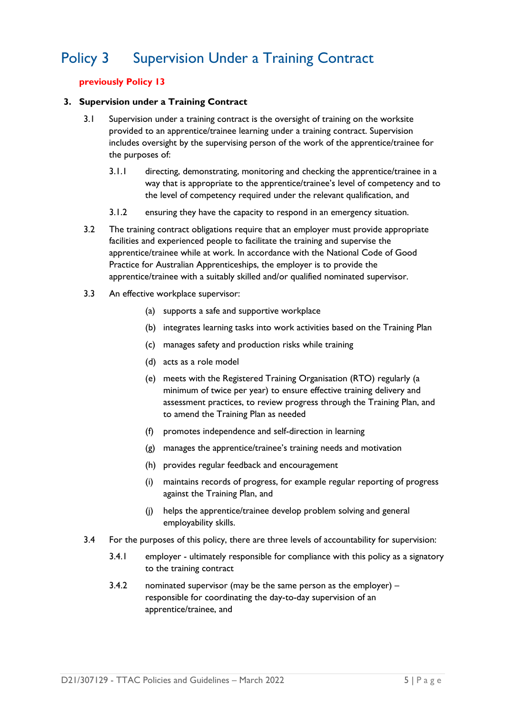### <span id="page-6-0"></span>Policy 3 Supervision Under a Training Contract

### **previously Policy 13**

#### **3. Supervision under a Training Contract**

- 3.1 Supervision under a training contract is the oversight of training on the worksite provided to an apprentice/trainee learning under a training contract. Supervision includes oversight by the supervising person of the work of the apprentice/trainee for the purposes of:
	- 3.1.1 directing, demonstrating, monitoring and checking the apprentice/trainee in a way that is appropriate to the apprentice/trainee's level of competency and to the level of competency required under the relevant qualification, and
	- 3.1.2 ensuring they have the capacity to respond in an emergency situation.
- 3.2 The training contract obligations require that an employer must provide appropriate facilities and experienced people to facilitate the training and supervise the apprentice/trainee while at work. In accordance with the National Code of Good Practice for Australian Apprenticeships, the employer is to provide the apprentice/trainee with a suitably skilled and/or qualified nominated supervisor.
- 3.3 An effective workplace supervisor:
	- (a) supports a safe and supportive workplace
	- (b) integrates learning tasks into work activities based on the Training Plan
	- (c) manages safety and production risks while training
	- (d) acts as a role model
	- (e) meets with the Registered Training Organisation (RTO) regularly (a minimum of twice per year) to ensure effective training delivery and assessment practices, to review progress through the Training Plan, and to amend the Training Plan as needed
	- (f) promotes independence and self-direction in learning
	- (g) manages the apprentice/trainee's training needs and motivation
	- (h) provides regular feedback and encouragement
	- (i) maintains records of progress, for example regular reporting of progress against the Training Plan, and
	- (j) helps the apprentice/trainee develop problem solving and general employability skills.
- 3.4 For the purposes of this policy, there are three levels of accountability for supervision:
	- 3.4.1 employer ultimately responsible for compliance with this policy as a signatory to the training contract
	- 3.4.2 nominated supervisor (may be the same person as the employer) responsible for coordinating the day-to-day supervision of an apprentice/trainee, and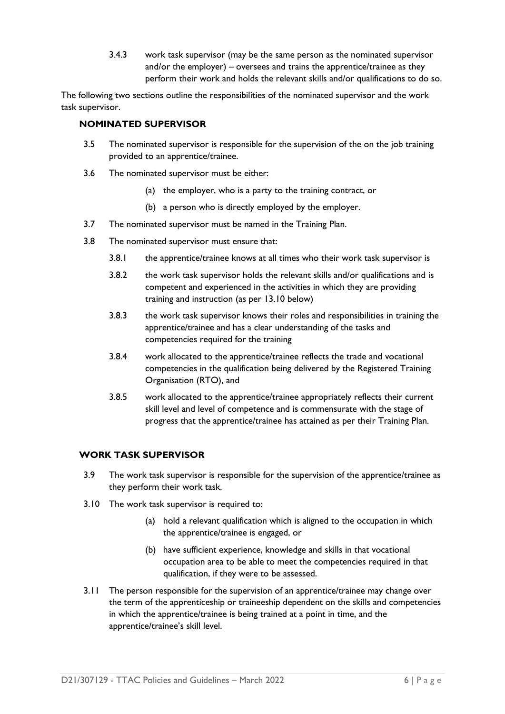3.4.3 work task supervisor (may be the same person as the nominated supervisor and/or the employer) – oversees and trains the apprentice/trainee as they perform their work and holds the relevant skills and/or qualifications to do so.

The following two sections outline the responsibilities of the nominated supervisor and the work task supervisor.

### **NOMINATED SUPERVISOR**

- 3.5 The nominated supervisor is responsible for the supervision of the on the job training provided to an apprentice/trainee.
- 3.6 The nominated supervisor must be either:
	- (a) the employer, who is a party to the training contract, or
	- (b) a person who is directly employed by the employer.
- 3.7 The nominated supervisor must be named in the Training Plan.
- 3.8 The nominated supervisor must ensure that:
	- 3.8.1 the apprentice/trainee knows at all times who their work task supervisor is
	- 3.8.2 the work task supervisor holds the relevant skills and/or qualifications and is competent and experienced in the activities in which they are providing training and instruction (as per 13.10 below)
	- 3.8.3 the work task supervisor knows their roles and responsibilities in training the apprentice/trainee and has a clear understanding of the tasks and competencies required for the training
	- 3.8.4 work allocated to the apprentice/trainee reflects the trade and vocational competencies in the qualification being delivered by the Registered Training Organisation (RTO), and
	- 3.8.5 work allocated to the apprentice/trainee appropriately reflects their current skill level and level of competence and is commensurate with the stage of progress that the apprentice/trainee has attained as per their Training Plan.

### **WORK TASK SUPERVISOR**

- 3.9 The work task supervisor is responsible for the supervision of the apprentice/trainee as they perform their work task.
- 3.10 The work task supervisor is required to:
	- (a) hold a relevant qualification which is aligned to the occupation in which the apprentice/trainee is engaged, or
	- (b) have sufficient experience, knowledge and skills in that vocational occupation area to be able to meet the competencies required in that qualification, if they were to be assessed.
- 3.11 The person responsible for the supervision of an apprentice/trainee may change over the term of the apprenticeship or traineeship dependent on the skills and competencies in which the apprentice/trainee is being trained at a point in time, and the apprentice/trainee's skill level.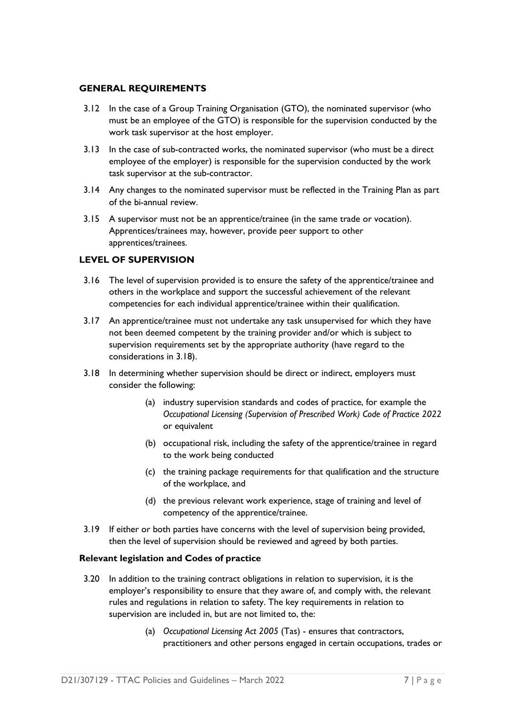### **GENERAL REQUIREMENTS**

- 3.12 In the case of a Group Training Organisation (GTO), the nominated supervisor (who must be an employee of the GTO) is responsible for the supervision conducted by the work task supervisor at the host employer.
- 3.13 In the case of sub-contracted works, the nominated supervisor (who must be a direct employee of the employer) is responsible for the supervision conducted by the work task supervisor at the sub-contractor.
- 3.14 Any changes to the nominated supervisor must be reflected in the Training Plan as part of the bi-annual review.
- 3.15 A supervisor must not be an apprentice/trainee (in the same trade or vocation). Apprentices/trainees may, however, provide peer support to other apprentices/trainees.

### **LEVEL OF SUPERVISION**

- 3.16 The level of supervision provided is to ensure the safety of the apprentice/trainee and others in the workplace and support the successful achievement of the relevant competencies for each individual apprentice/trainee within their qualification.
- 3.17 An apprentice/trainee must not undertake any task unsupervised for which they have not been deemed competent by the training provider and/or which is subject to supervision requirements set by the appropriate authority (have regard to the considerations in 3.18).
- 3.18 In determining whether supervision should be direct or indirect, employers must consider the following:
	- (a) industry supervision standards and codes of practice, for example the *Occupational Licensing (Supervision of Prescribed Work) Code of Practice 2022* or equivalent
	- (b) occupational risk, including the safety of the apprentice/trainee in regard to the work being conducted
	- (c) the training package requirements for that qualification and the structure of the workplace, and
	- (d) the previous relevant work experience, stage of training and level of competency of the apprentice/trainee.
- 3.19 If either or both parties have concerns with the level of supervision being provided, then the level of supervision should be reviewed and agreed by both parties.

#### **Relevant legislation and Codes of practice**

- 3.20 In addition to the training contract obligations in relation to supervision, it is the employer's responsibility to ensure that they aware of, and comply with, the relevant rules and regulations in relation to safety. The key requirements in relation to supervision are included in, but are not limited to, the:
	- (a) *Occupational Licensing Act 2005* (Tas) ensures that contractors, practitioners and other persons engaged in certain occupations, trades or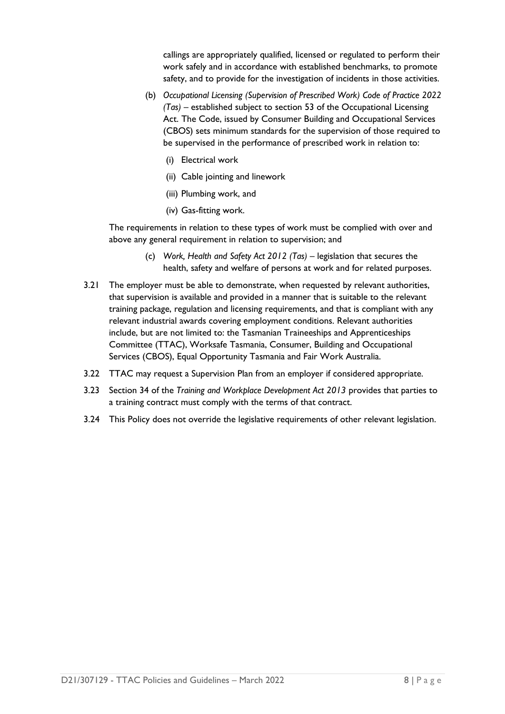callings are appropriately qualified, licensed or regulated to perform their work safely and in accordance with established benchmarks, to promote safety, and to provide for the investigation of incidents in those activities.

- (b) *Occupational Licensing (Supervision of Prescribed Work) Code of Practice 2022 (Tas) –* established subject to section 53 of the Occupational Licensing Act. The Code, issued by Consumer Building and Occupational Services (CBOS) sets minimum standards for the supervision of those required to be supervised in the performance of prescribed work in relation to:
	- (i) Electrical work
	- (ii) Cable jointing and linework
	- (iii) Plumbing work, and
	- (iv) Gas-fitting work.

The requirements in relation to these types of work must be complied with over and above any general requirement in relation to supervision; and

- (c) *Work, Health and Safety Act 2012 (Tas)* legislation that secures the health, safety and welfare of persons at work and for related purposes.
- 3.21 The employer must be able to demonstrate, when requested by relevant authorities, that supervision is available and provided in a manner that is suitable to the relevant training package, regulation and licensing requirements, and that is compliant with any relevant industrial awards covering employment conditions. Relevant authorities include, but are not limited to: the Tasmanian Traineeships and Apprenticeships Committee (TTAC), Worksafe Tasmania, Consumer, Building and Occupational Services (CBOS), Equal Opportunity Tasmania and Fair Work Australia.
- 3.22 TTAC may request a Supervision Plan from an employer if considered appropriate.
- 3.23 Section 34 of the *Training and Workplace Development Act 2013* provides that parties to a training contract must comply with the terms of that contract.
- 3.24 This Policy does not override the legislative requirements of other relevant legislation.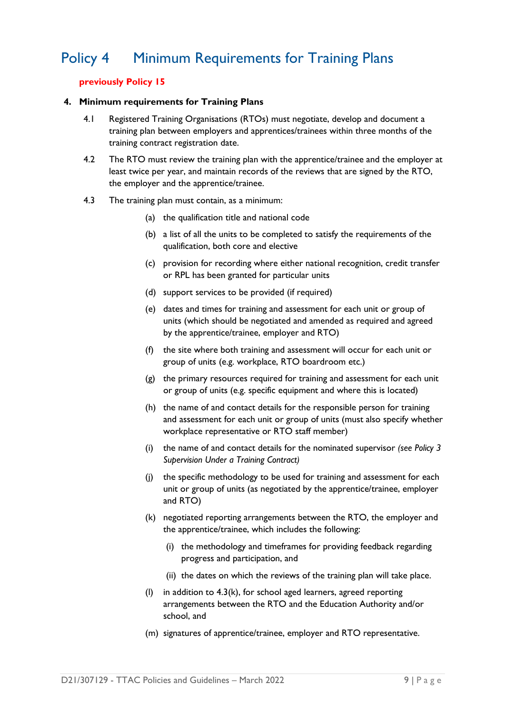### <span id="page-10-0"></span>Policy 4 Minimum Requirements for Training Plans

### **previously Policy 15**

#### **4. Minimum requirements for Training Plans**

- 4.1 Registered Training Organisations (RTOs) must negotiate, develop and document a training plan between employers and apprentices/trainees within three months of the training contract registration date.
- 4.2 The RTO must review the training plan with the apprentice/trainee and the employer at least twice per year, and maintain records of the reviews that are signed by the RTO, the employer and the apprentice/trainee.
- 4.3 The training plan must contain, as a minimum:
	- (a) the qualification title and national code
	- (b) a list of all the units to be completed to satisfy the requirements of the qualification, both core and elective
	- (c) provision for recording where either national recognition, credit transfer or RPL has been granted for particular units
	- (d) support services to be provided (if required)
	- (e) dates and times for training and assessment for each unit or group of units (which should be negotiated and amended as required and agreed by the apprentice/trainee, employer and RTO)
	- (f) the site where both training and assessment will occur for each unit or group of units (e.g. workplace, RTO boardroom etc.)
	- (g) the primary resources required for training and assessment for each unit or group of units (e.g. specific equipment and where this is located)
	- (h) the name of and contact details for the responsible person for training and assessment for each unit or group of units (must also specify whether workplace representative or RTO staff member)
	- (i) the name of and contact details for the nominated supervisor *(see Policy 3 Supervision Under a Training Contract)*
	- (j) the specific methodology to be used for training and assessment for each unit or group of units (as negotiated by the apprentice/trainee, employer and RTO)
	- (k) negotiated reporting arrangements between the RTO, the employer and the apprentice/trainee, which includes the following:
		- (i) the methodology and timeframes for providing feedback regarding progress and participation, and
		- (ii) the dates on which the reviews of the training plan will take place.
	- (l) in addition to 4.3(k), for school aged learners, agreed reporting arrangements between the RTO and the Education Authority and/or school, and
	- (m) signatures of apprentice/trainee, employer and RTO representative.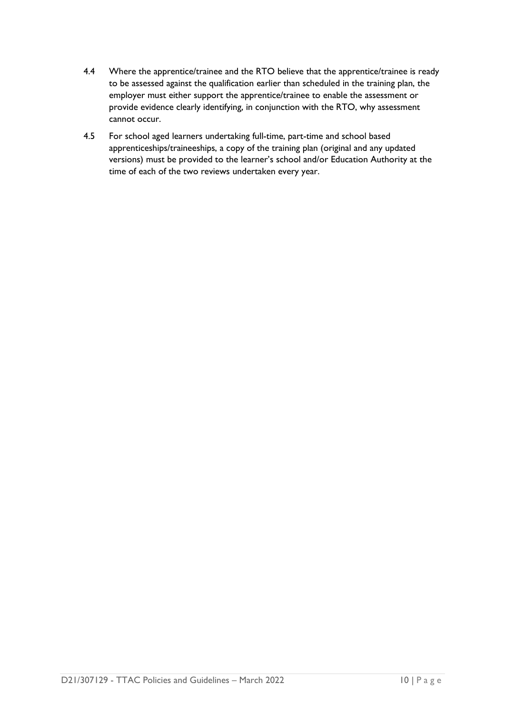- 4.4 Where the apprentice/trainee and the RTO believe that the apprentice/trainee is ready to be assessed against the qualification earlier than scheduled in the training plan, the employer must either support the apprentice/trainee to enable the assessment or provide evidence clearly identifying, in conjunction with the RTO, why assessment cannot occur.
- 4.5 For school aged learners undertaking full-time, part-time and school based apprenticeships/traineeships, a copy of the training plan (original and any updated versions) must be provided to the learner's school and/or Education Authority at the time of each of the two reviews undertaken every year.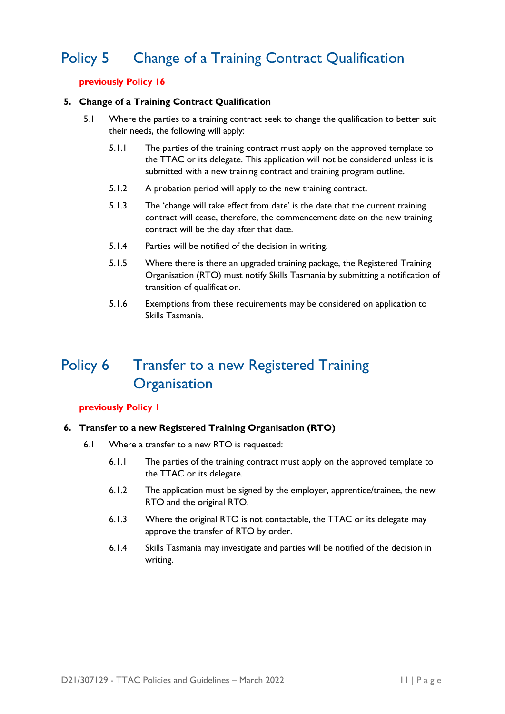### <span id="page-12-0"></span>Policy 5 Change of a Training Contract Qualification

### **previously Policy 16**

#### **5. Change of a Training Contract Qualification**

- 5.1 Where the parties to a training contract seek to change the qualification to better suit their needs, the following will apply:
	- 5.1.1 The parties of the training contract must apply on the approved template to the TTAC or its delegate. This application will not be considered unless it is submitted with a new training contract and training program outline.
	- 5.1.2 A probation period will apply to the new training contract.
	- 5.1.3 The 'change will take effect from date' is the date that the current training contract will cease, therefore, the commencement date on the new training contract will be the day after that date.
	- 5.1.4 Parties will be notified of the decision in writing.
	- 5.1.5 Where there is there an upgraded training package, the Registered Training Organisation (RTO) must notify Skills Tasmania by submitting a notification of transition of qualification.
	- 5.1.6 Exemptions from these requirements may be considered on application to Skills Tasmania.

### <span id="page-12-1"></span>Policy 6 Transfer to a new Registered Training **Organisation**

#### **previously Policy 1**

#### **6. Transfer to a new Registered Training Organisation (RTO)**

- 6.1 Where a transfer to a new RTO is requested:
	- 6.1.1 The parties of the training contract must apply on the approved template to the TTAC or its delegate.
	- 6.1.2 The application must be signed by the employer, apprentice/trainee, the new RTO and the original RTO.
	- 6.1.3 Where the original RTO is not contactable, the TTAC or its delegate may approve the transfer of RTO by order.
	- 6.1.4 Skills Tasmania may investigate and parties will be notified of the decision in writing.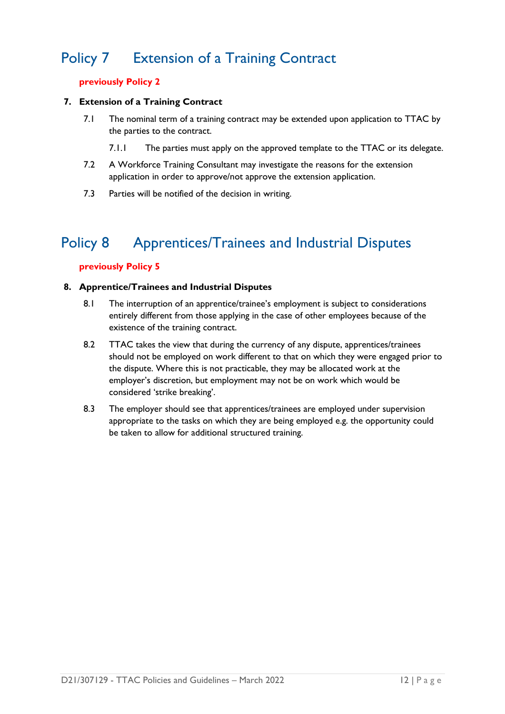### <span id="page-13-0"></span>Policy 7 Extension of a Training Contract

### **previously Policy 2**

### **7. Extension of a Training Contract**

- 7.1 The nominal term of a training contract may be extended upon application to TTAC by the parties to the contract.
	- 7.1.1 The parties must apply on the approved template to the TTAC or its delegate.
- 7.2 A Workforce Training Consultant may investigate the reasons for the extension application in order to approve/not approve the extension application.
- 7.3 Parties will be notified of the decision in writing.

### <span id="page-13-1"></span>Policy 8 Apprentices/Trainees and Industrial Disputes

### **previously Policy 5**

#### **8. Apprentice/Trainees and Industrial Disputes**

- 8.1 The interruption of an apprentice/trainee's employment is subject to considerations entirely different from those applying in the case of other employees because of the existence of the training contract.
- 8.2 TTAC takes the view that during the currency of any dispute, apprentices/trainees should not be employed on work different to that on which they were engaged prior to the dispute. Where this is not practicable, they may be allocated work at the employer's discretion, but employment may not be on work which would be considered 'strike breaking'.
- 8.3 The employer should see that apprentices/trainees are employed under supervision appropriate to the tasks on which they are being employed e.g. the opportunity could be taken to allow for additional structured training.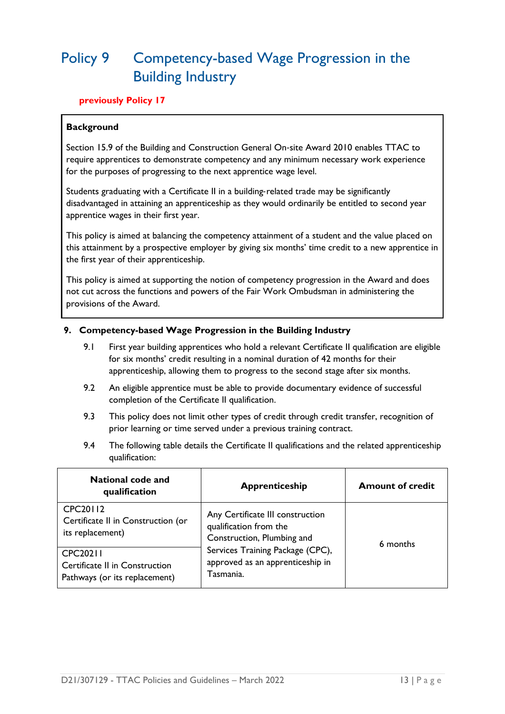### <span id="page-14-0"></span>Policy 9 Competency-based Wage Progression in the Building Industry

### **previously Policy 17**

### **Background**

Section 15.9 of the Building and Construction General On‐site Award 2010 enables TTAC to require apprentices to demonstrate competency and any minimum necessary work experience for the purposes of progressing to the next apprentice wage level.

Students graduating with a Certificate II in a building-related trade may be significantly disadvantaged in attaining an apprenticeship as they would ordinarily be entitled to second year apprentice wages in their first year.

This policy is aimed at balancing the competency attainment of a student and the value placed on this attainment by a prospective employer by giving six months' time credit to a new apprentice in the first year of their apprenticeship.

This policy is aimed at supporting the notion of competency progression in the Award and does not cut across the functions and powers of the Fair Work Ombudsman in administering the provisions of the Award.

### **9. Competency-based Wage Progression in the Building Industry**

- 9.1 First year building apprentices who hold a relevant Certificate II qualification are eligible for six months' credit resulting in a nominal duration of 42 months for their apprenticeship, allowing them to progress to the second stage after six months.
- 9.2 An eligible apprentice must be able to provide documentary evidence of successful completion of the Certificate II qualification.
- 9.3 This policy does not limit other types of credit through credit transfer, recognition of prior learning or time served under a previous training contract.
- 9.4 The following table details the Certificate II qualifications and the related apprenticeship qualification:

| <b>National code and</b><br>qualification                                   | Apprenticeship                                                                           | <b>Amount of credit</b> |
|-----------------------------------------------------------------------------|------------------------------------------------------------------------------------------|-------------------------|
| <b>CPC20112</b><br>Certificate II in Construction (or<br>its replacement)   | Any Certificate III construction<br>qualification from the<br>Construction, Plumbing and | 6 months                |
| CPC20211<br>Certificate II in Construction<br>Pathways (or its replacement) | Services Training Package (CPC),<br>approved as an apprenticeship in<br>Tasmania.        |                         |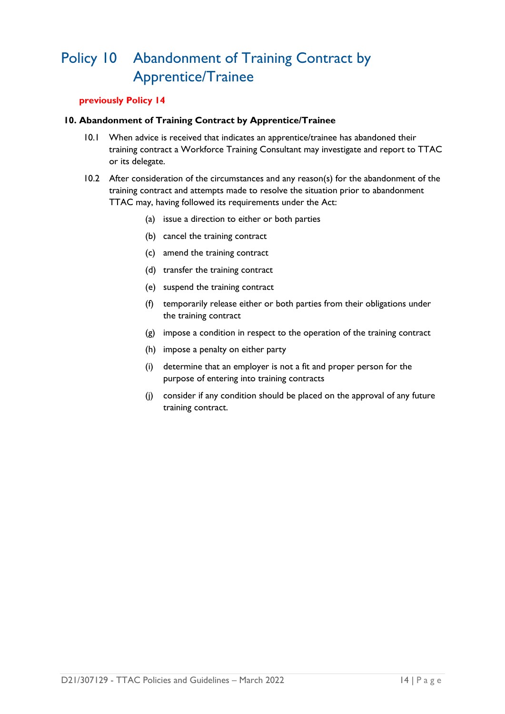### <span id="page-15-0"></span>Policy 10 Abandonment of Training Contract by Apprentice/Trainee

### **previously Policy 14**

### **10. Abandonment of Training Contract by Apprentice/Trainee**

- 10.1 When advice is received that indicates an apprentice/trainee has abandoned their training contract a Workforce Training Consultant may investigate and report to TTAC or its delegate.
- 10.2 After consideration of the circumstances and any reason(s) for the abandonment of the training contract and attempts made to resolve the situation prior to abandonment TTAC may, having followed its requirements under the Act:
	- (a) issue a direction to either or both parties
	- (b) cancel the training contract
	- (c) amend the training contract
	- (d) transfer the training contract
	- (e) suspend the training contract
	- (f) temporarily release either or both parties from their obligations under the training contract
	- (g) impose a condition in respect to the operation of the training contract
	- (h) impose a penalty on either party
	- (i) determine that an employer is not a fit and proper person for the purpose of entering into training contracts
	- (j) consider if any condition should be placed on the approval of any future training contract.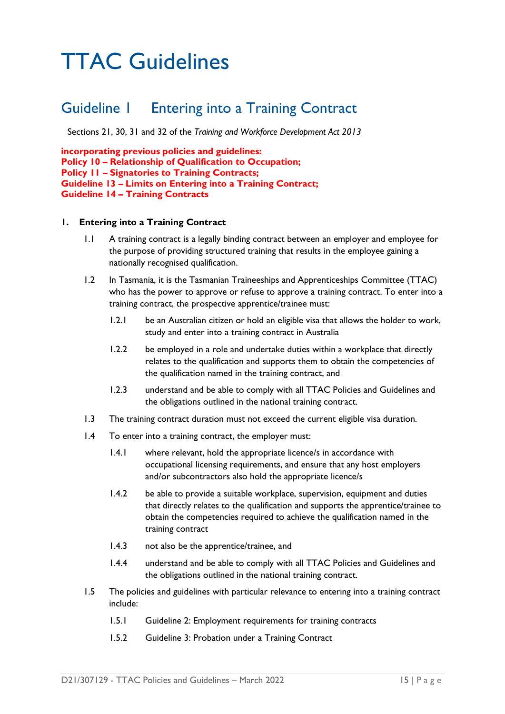## <span id="page-16-0"></span>TTAC Guidelines

### <span id="page-16-1"></span>Guideline 1 Entering into a Training Contract

Sections 21, 30, 31 and 32 of the *Training and Workforce Development Act 2013*

**incorporating previous policies and guidelines: Policy 10 – Relationship of Qualification to Occupation; Policy 11 – Signatories to Training Contracts; Guideline 13 – Limits on Entering into a Training Contract; Guideline 14 – Training Contracts**

### **1. Entering into a Training Contract**

- 1.1 A training contract is a legally binding contract between an employer and employee for the purpose of providing structured training that results in the employee gaining a nationally recognised qualification.
- 1.2 In Tasmania, it is the Tasmanian Traineeships and Apprenticeships Committee (TTAC) who has the power to approve or refuse to approve a training contract. To enter into a training contract, the prospective apprentice/trainee must:
	- 1.2.1 be an Australian citizen or hold an eligible visa that allows the holder to work, study and enter into a training contract in Australia
	- 1.2.2 be employed in a role and undertake duties within a workplace that directly relates to the qualification and supports them to obtain the competencies of the qualification named in the training contract, and
	- 1.2.3 understand and be able to comply with all TTAC Policies and Guidelines and the obligations outlined in the national training contract.
- 1.3 The training contract duration must not exceed the current eligible visa duration.
- 1.4 To enter into a training contract, the employer must:
	- 1.4.1 where relevant, hold the appropriate licence/s in accordance with occupational licensing requirements, and ensure that any host employers and/or subcontractors also hold the appropriate licence/s
	- 1.4.2 be able to provide a suitable workplace, supervision, equipment and duties that directly relates to the qualification and supports the apprentice/trainee to obtain the competencies required to achieve the qualification named in the training contract
	- 1.4.3 not also be the apprentice/trainee, and
	- 1.4.4 understand and be able to comply with all TTAC Policies and Guidelines and the obligations outlined in the national training contract.
- 1.5 The policies and guidelines with particular relevance to entering into a training contract include:
	- 1.5.1 Guideline 2: Employment requirements for training contracts
	- 1.5.2 Guideline 3: Probation under a Training Contract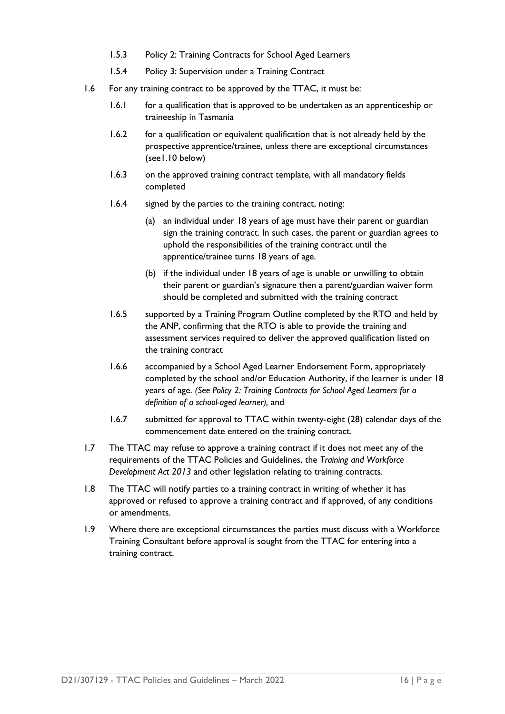- 1.5.3 Policy 2: Training Contracts for School Aged Learners
- 1.5.4 Policy 3: Supervision under a Training Contract
- 1.6 For any training contract to be approved by the TTAC, it must be:
	- 1.6.1 for a qualification that is approved to be undertaken as an apprenticeship or traineeship in Tasmania
	- 1.6.2 for a qualification or equivalent qualification that is not already held by the prospective apprentice/trainee, unless there are exceptional circumstances (see1.10 below)
	- 1.6.3 on the approved training contract template, with all mandatory fields completed
	- 1.6.4 signed by the parties to the training contract, noting:
		- (a) an individual under 18 years of age must have their parent or guardian sign the training contract. In such cases, the parent or guardian agrees to uphold the responsibilities of the training contract until the apprentice/trainee turns 18 years of age.
		- (b) if the individual under 18 years of age is unable or unwilling to obtain their parent or guardian's signature then a parent/guardian waiver form should be completed and submitted with the training contract
	- 1.6.5 supported by a Training Program Outline completed by the RTO and held by the ANP, confirming that the RTO is able to provide the training and assessment services required to deliver the approved qualification listed on the training contract
	- 1.6.6 accompanied by a School Aged Learner Endorsement Form, appropriately completed by the school and/or Education Authority, if the learner is under 18 years of age. *(See Policy 2: Training Contracts for School Aged Learners for a definition of a school-aged learner),* and
	- 1.6.7 submitted for approval to TTAC within twenty-eight (28) calendar days of the commencement date entered on the training contract.
- 1.7 The TTAC may refuse to approve a training contract if it does not meet any of the requirements of the TTAC Policies and Guidelines, the *Training and Workforce Development Act 2013* and other legislation relating to training contracts.
- 1.8 The TTAC will notify parties to a training contract in writing of whether it has approved or refused to approve a training contract and if approved, of any conditions or amendments.
- 1.9 Where there are exceptional circumstances the parties must discuss with a Workforce Training Consultant before approval is sought from the TTAC for entering into a training contract.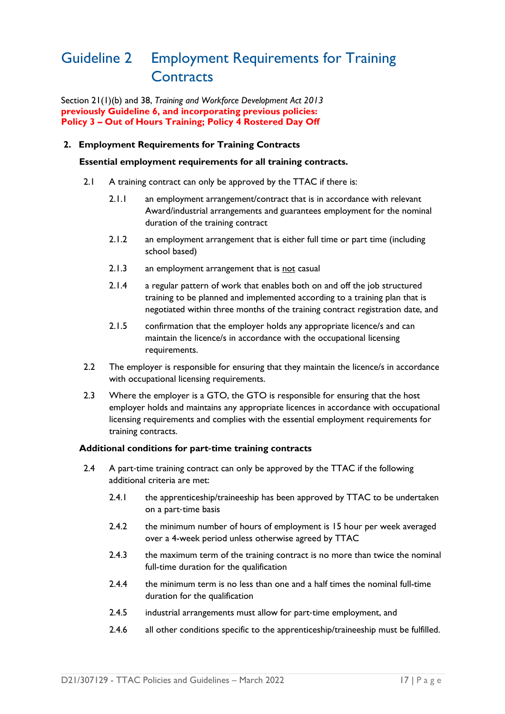### <span id="page-18-0"></span>Guideline 2 Employment Requirements for Training **Contracts**

Section 21(1)(b) and 38, *Training and Workforce Development Act 2013* **previously Guideline 6, and incorporating previous policies: Policy 3 – Out of Hours Training; Policy 4 Rostered Day Off** 

### **2. Employment Requirements for Training Contracts**

#### **Essential employment requirements for all training contracts.**

- 2.1 A training contract can only be approved by the TTAC if there is:
	- 2.1.1 an employment arrangement/contract that is in accordance with relevant Award/industrial arrangements and guarantees employment for the nominal duration of the training contract
	- 2.1.2 an employment arrangement that is either full time or part time (including school based)
	- 2.1.3 an employment arrangement that is not casual
	- 2.1.4 a regular pattern of work that enables both on and off the job structured training to be planned and implemented according to a training plan that is negotiated within three months of the training contract registration date, and
	- 2.1.5 confirmation that the employer holds any appropriate licence/s and can maintain the licence/s in accordance with the occupational licensing requirements.
- 2.2 The employer is responsible for ensuring that they maintain the licence/s in accordance with occupational licensing requirements.
- 2.3 Where the employer is a GTO, the GTO is responsible for ensuring that the host employer holds and maintains any appropriate licences in accordance with occupational licensing requirements and complies with the essential employment requirements for training contracts.

### **Additional conditions for part**‐**time training contracts**

- 2.4 A part-time training contract can only be approved by the TTAC if the following additional criteria are met:
	- 2.4.1 the apprenticeship/traineeship has been approved by TTAC to be undertaken on a part‐time basis
	- 2.4.2 the minimum number of hours of employment is 15 hour per week averaged over a 4-week period unless otherwise agreed by TTAC
	- 2.4.3 the maximum term of the training contract is no more than twice the nominal full-time duration for the qualification
	- 2.4.4 the minimum term is no less than one and a half times the nominal full-time duration for the qualification
	- 2.4.5 industrial arrangements must allow for part-time employment, and
	- 2.4.6 all other conditions specific to the apprenticeship/traineeship must be fulfilled.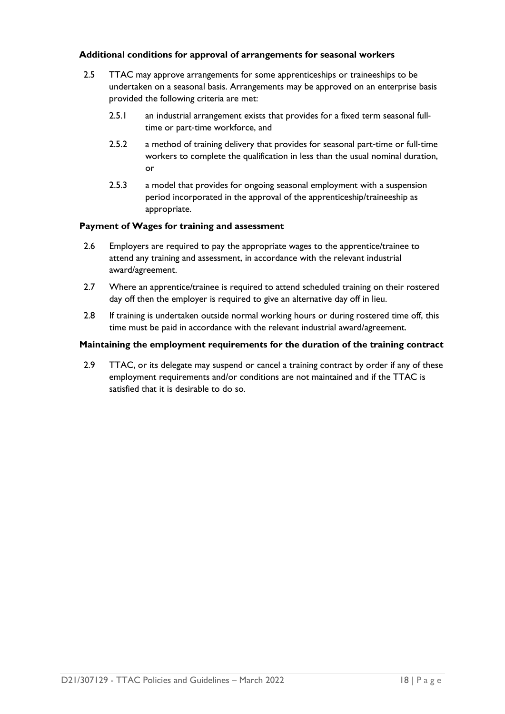### **Additional conditions for approval of arrangements for seasonal workers**

- 2.5 TTAC may approve arrangements for some apprenticeships or traineeships to be undertaken on a seasonal basis. Arrangements may be approved on an enterprise basis provided the following criteria are met:
	- 2.5.1 an industrial arrangement exists that provides for a fixed term seasonal fulltime or part‐time workforce, and
	- 2.5.2 a method of training delivery that provides for seasonal part‐time or full‐time workers to complete the qualification in less than the usual nominal duration, or
	- 2.5.3 a model that provides for ongoing seasonal employment with a suspension period incorporated in the approval of the apprenticeship/traineeship as appropriate.

#### **Payment of Wages for training and assessment**

- 2.6 Employers are required to pay the appropriate wages to the apprentice/trainee to attend any training and assessment, in accordance with the relevant industrial award/agreement.
- 2.7 Where an apprentice/trainee is required to attend scheduled training on their rostered day off then the employer is required to give an alternative day off in lieu.
- 2.8 If training is undertaken outside normal working hours or during rostered time off, this time must be paid in accordance with the relevant industrial award/agreement.

#### **Maintaining the employment requirements for the duration of the training contract**

2.9 TTAC, or its delegate may suspend or cancel a training contract by order if any of these employment requirements and/or conditions are not maintained and if the TTAC is satisfied that it is desirable to do so.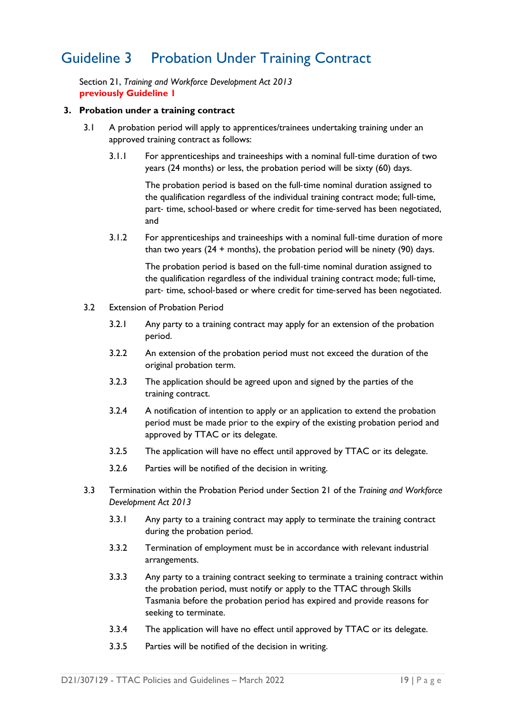### <span id="page-20-0"></span>Guideline 3 Probation Under Training Contract

Section 21, *Training and Workforce Development Act 2013* **previously Guideline 1**

#### **3. Probation under a training contract**

- 3.1 A probation period will apply to apprentices/trainees undertaking training under an approved training contract as follows:
	- 3.1.1 For apprenticeships and traineeships with a nominal full‐time duration of two years (24 months) or less, the probation period will be sixty (60) days.

The probation period is based on the full-time nominal duration assigned to the qualification regardless of the individual training contract mode; full-time, part- time, school-based or where credit for time-served has been negotiated, and

3.1.2 For apprenticeships and traineeships with a nominal full‐time duration of more than two years  $(24 + \text{months})$ , the probation period will be ninety  $(90)$  days.

> The probation period is based on the full-time nominal duration assigned to the qualification regardless of the individual training contract mode; full-time, part- time, school-based or where credit for time-served has been negotiated.

- 3.2 Extension of Probation Period
	- 3.2.1 Any party to a training contract may apply for an extension of the probation period.
	- 3.2.2 An extension of the probation period must not exceed the duration of the original probation term.
	- 3.2.3 The application should be agreed upon and signed by the parties of the training contract.
	- 3.2.4 A notification of intention to apply or an application to extend the probation period must be made prior to the expiry of the existing probation period and approved by TTAC or its delegate.
	- 3.2.5 The application will have no effect until approved by TTAC or its delegate.
	- 3.2.6 Parties will be notified of the decision in writing.
- 3.3 Termination within the Probation Period under Section 21 of the *Training and Workforce Development Act 2013*
	- 3.3.1 Any party to a training contract may apply to terminate the training contract during the probation period.
	- 3.3.2 Termination of employment must be in accordance with relevant industrial arrangements.
	- 3.3.3 Any party to a training contract seeking to terminate a training contract within the probation period, must notify or apply to the TTAC through Skills Tasmania before the probation period has expired and provide reasons for seeking to terminate.
	- 3.3.4 The application will have no effect until approved by TTAC or its delegate.
	- 3.3.5 Parties will be notified of the decision in writing.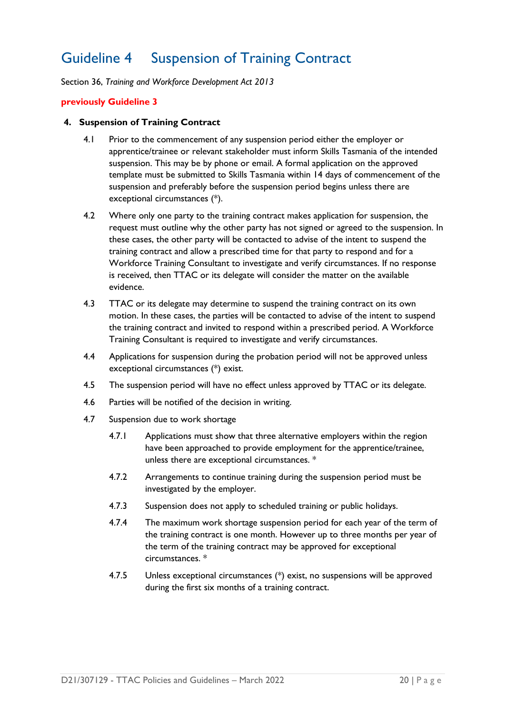### <span id="page-21-0"></span>Guideline 4 Suspension of Training Contract

Section 36, *Training and Workforce Development Act 2013*

#### **previously Guideline 3**

#### **4. Suspension of Training Contract**

- 4.1 Prior to the commencement of any suspension period either the employer or apprentice/trainee or relevant stakeholder must inform Skills Tasmania of the intended suspension. This may be by phone or email. A formal application on the approved template must be submitted to Skills Tasmania within 14 days of commencement of the suspension and preferably before the suspension period begins unless there are exceptional circumstances (\*).
- 4.2 Where only one party to the training contract makes application for suspension, the request must outline why the other party has not signed or agreed to the suspension. In these cases, the other party will be contacted to advise of the intent to suspend the training contract and allow a prescribed time for that party to respond and for a Workforce Training Consultant to investigate and verify circumstances. If no response is received, then TTAC or its delegate will consider the matter on the available evidence.
- 4.3 TTAC or its delegate may determine to suspend the training contract on its own motion. In these cases, the parties will be contacted to advise of the intent to suspend the training contract and invited to respond within a prescribed period. A Workforce Training Consultant is required to investigate and verify circumstances.
- 4.4 Applications for suspension during the probation period will not be approved unless exceptional circumstances (\*) exist.
- 4.5 The suspension period will have no effect unless approved by TTAC or its delegate.
- 4.6 Parties will be notified of the decision in writing.
- 4.7 Suspension due to work shortage
	- 4.7.1 Applications must show that three alternative employers within the region have been approached to provide employment for the apprentice/trainee, unless there are exceptional circumstances. \*
	- 4.7.2 Arrangements to continue training during the suspension period must be investigated by the employer.
	- 4.7.3 Suspension does not apply to scheduled training or public holidays.
	- 4.7.4 The maximum work shortage suspension period for each year of the term of the training contract is one month. However up to three months per year of the term of the training contract may be approved for exceptional circumstances. \*
	- 4.7.5 Unless exceptional circumstances (\*) exist, no suspensions will be approved during the first six months of a training contract.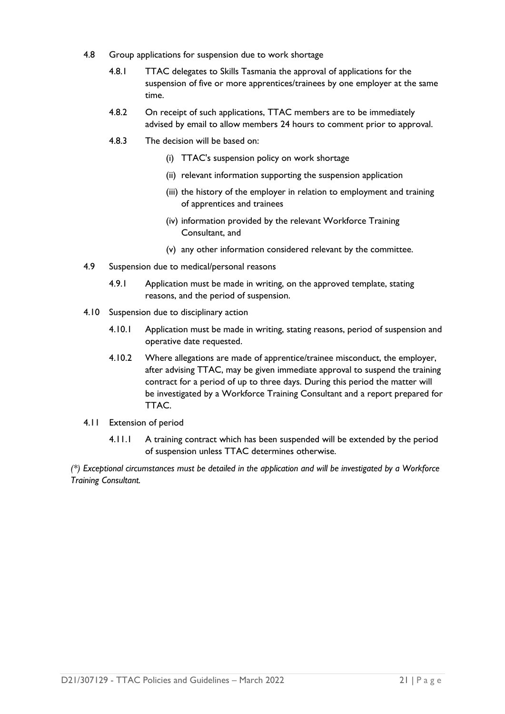- 4.8 Group applications for suspension due to work shortage
	- 4.8.1 TTAC delegates to Skills Tasmania the approval of applications for the suspension of five or more apprentices/trainees by one employer at the same time.
	- 4.8.2 On receipt of such applications, TTAC members are to be immediately advised by email to allow members 24 hours to comment prior to approval.
	- 4.8.3 The decision will be based on:
		- (i) TTAC's suspension policy on work shortage
		- (ii) relevant information supporting the suspension application
		- (iii) the history of the employer in relation to employment and training of apprentices and trainees
		- (iv) information provided by the relevant Workforce Training Consultant, and
		- (v) any other information considered relevant by the committee.
- 4.9 Suspension due to medical/personal reasons
	- 4.9.1 Application must be made in writing, on the approved template, stating reasons, and the period of suspension.
- 4.10 Suspension due to disciplinary action
	- 4.10.1 Application must be made in writing, stating reasons, period of suspension and operative date requested.
	- 4.10.2 Where allegations are made of apprentice/trainee misconduct, the employer, after advising TTAC, may be given immediate approval to suspend the training contract for a period of up to three days. During this period the matter will be investigated by a Workforce Training Consultant and a report prepared for TTAC.
- 4.11 Extension of period
	- 4.11.1 A training contract which has been suspended will be extended by the period of suspension unless TTAC determines otherwise.

*(\*) Exceptional circumstances must be detailed in the application and will be investigated by a Workforce Training Consultant.*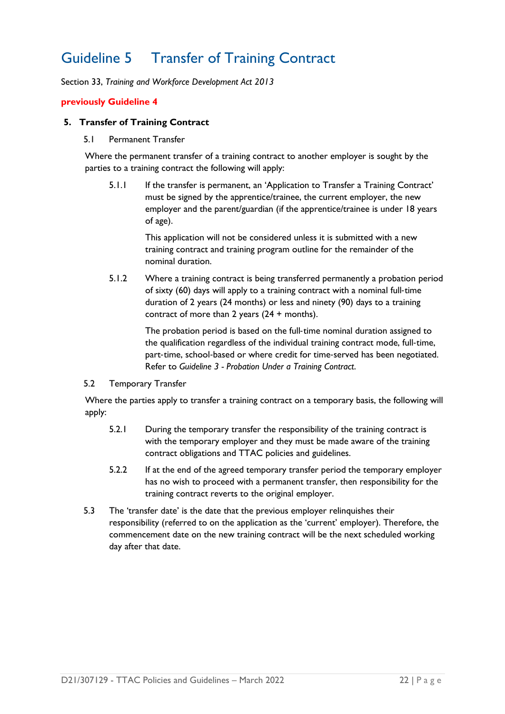### <span id="page-23-0"></span>Guideline 5 Transfer of Training Contract

Section 33, *Training and Workforce Development Act 2013*

### **previously Guideline 4**

#### **5. Transfer of Training Contract**

5.1 Permanent Transfer

Where the permanent transfer of a training contract to another employer is sought by the parties to a training contract the following will apply:

5.1.1 If the transfer is permanent, an 'Application to Transfer a Training Contract' must be signed by the apprentice/trainee, the current employer, the new employer and the parent/guardian (if the apprentice/trainee is under 18 years of age).

> This application will not be considered unless it is submitted with a new training contract and training program outline for the remainder of the nominal duration.

5.1.2 Where a training contract is being transferred permanently a probation period of sixty (60) days will apply to a training contract with a nominal full‐time duration of 2 years (24 months) or less and ninety (90) days to a training contract of more than 2 years (24 + months).

> The probation period is based on the full‐time nominal duration assigned to the qualification regardless of the individual training contract mode, full-time, part-time, school-based or where credit for time-served has been negotiated. Refer to *Guideline 3 - Probation Under a Training Contract*.

#### 5.2 Temporary Transfer

Where the parties apply to transfer a training contract on a temporary basis, the following will apply:

- 5.2.1 During the temporary transfer the responsibility of the training contract is with the temporary employer and they must be made aware of the training contract obligations and TTAC policies and guidelines.
- 5.2.2 If at the end of the agreed temporary transfer period the temporary employer has no wish to proceed with a permanent transfer, then responsibility for the training contract reverts to the original employer.
- 5.3 The 'transfer date' is the date that the previous employer relinquishes their responsibility (referred to on the application as the 'current' employer). Therefore, the commencement date on the new training contract will be the next scheduled working day after that date.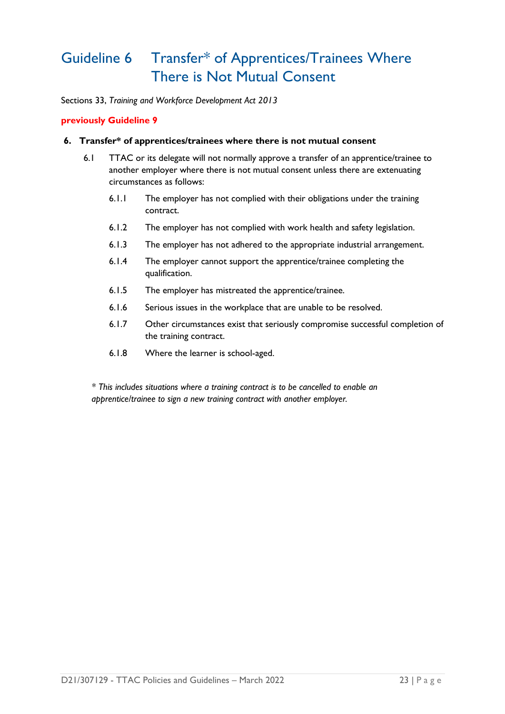### <span id="page-24-0"></span>Guideline 6 Transfer\* of Apprentices/Trainees Where There is Not Mutual Consent

Sections 33, *Training and Workforce Development Act 2013*

### **previously Guideline 9**

#### **6. Transfer\* of apprentices/trainees where there is not mutual consent**

- 6.1 TTAC or its delegate will not normally approve a transfer of an apprentice/trainee to another employer where there is not mutual consent unless there are extenuating circumstances as follows:
	- 6.1.1 The employer has not complied with their obligations under the training contract.
	- 6.1.2 The employer has not complied with work health and safety legislation.
	- 6.1.3 The employer has not adhered to the appropriate industrial arrangement.
	- 6.1.4 The employer cannot support the apprentice/trainee completing the qualification.
	- 6.1.5 The employer has mistreated the apprentice/trainee.
	- 6.1.6 Serious issues in the workplace that are unable to be resolved.
	- 6.1.7 Other circumstances exist that seriously compromise successful completion of the training contract.
	- 6.1.8 Where the learner is school-aged.

*\* This includes situations where a training contract is to be cancelled to enable an apprentice/trainee to sign a new training contract with another employer.*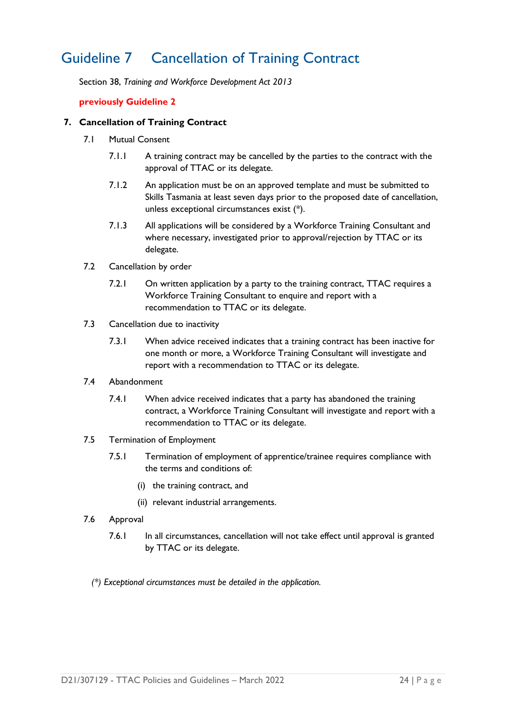### <span id="page-25-0"></span>Guideline 7 Cancellation of Training Contract

Section 38, *Training and Workforce Development Act 2013*

### **previously Guideline 2**

### **7. Cancellation of Training Contract**

- 7.1 Mutual Consent
	- 7.1.1 A training contract may be cancelled by the parties to the contract with the approval of TTAC or its delegate.
	- 7.1.2 An application must be on an approved template and must be submitted to Skills Tasmania at least seven days prior to the proposed date of cancellation, unless exceptional circumstances exist (\*).
	- 7.1.3 All applications will be considered by a Workforce Training Consultant and where necessary, investigated prior to approval/rejection by TTAC or its delegate.
- 7.2 Cancellation by order
	- 7.2.1 On written application by a party to the training contract, TTAC requires a Workforce Training Consultant to enquire and report with a recommendation to TTAC or its delegate.
- 7.3 Cancellation due to inactivity
	- 7.3.1 When advice received indicates that a training contract has been inactive for one month or more, a Workforce Training Consultant will investigate and report with a recommendation to TTAC or its delegate.
- 7.4 Abandonment
	- 7.4.1 When advice received indicates that a party has abandoned the training contract, a Workforce Training Consultant will investigate and report with a recommendation to TTAC or its delegate.
- 7.5 Termination of Employment
	- 7.5.1 Termination of employment of apprentice/trainee requires compliance with the terms and conditions of:
		- (i) the training contract, and
		- (ii) relevant industrial arrangements.
- 7.6 Approval
	- 7.6.1 In all circumstances, cancellation will not take effect until approval is granted by TTAC or its delegate.
	- *(\*) Exceptional circumstances must be detailed in the application.*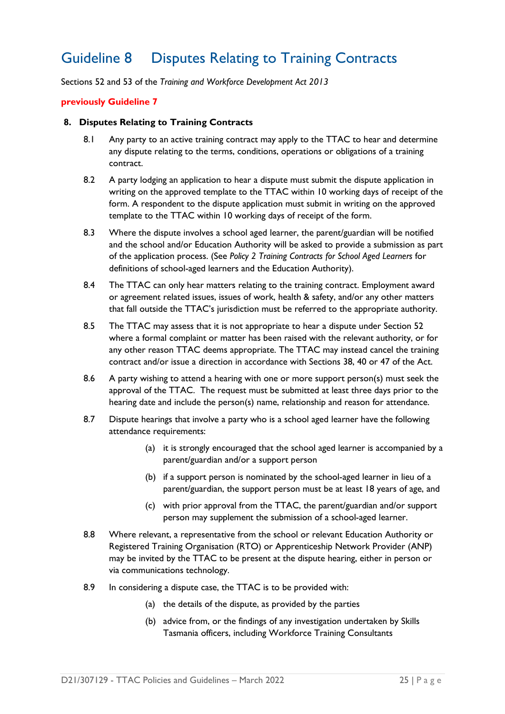### <span id="page-26-0"></span>Guideline 8 Disputes Relating to Training Contracts

Sections 52 and 53 of the *Training and Workforce Development Act 2013*

#### **previously Guideline 7**

#### **8. Disputes Relating to Training Contracts**

- 8.1 Any party to an active training contract may apply to the TTAC to hear and determine any dispute relating to the terms, conditions, operations or obligations of a training contract.
- 8.2 A party lodging an application to hear a dispute must submit the dispute application in writing on the approved template to the TTAC within 10 working days of receipt of the form. A respondent to the dispute application must submit in writing on the approved template to the TTAC within 10 working days of receipt of the form.
- 8.3 Where the dispute involves a school aged learner, the parent/guardian will be notified and the school and/or Education Authority will be asked to provide a submission as part of the application process. (See *Policy 2 Training Contracts for School Aged Learners* for definitions of school-aged learners and the Education Authority).
- 8.4 The TTAC can only hear matters relating to the training contract. Employment award or agreement related issues, issues of work, health & safety, and/or any other matters that fall outside the TTAC's jurisdiction must be referred to the appropriate authority.
- 8.5 The TTAC may assess that it is not appropriate to hear a dispute under Section 52 where a formal complaint or matter has been raised with the relevant authority, or for any other reason TTAC deems appropriate. The TTAC may instead cancel the training contract and/or issue a direction in accordance with Sections 38, 40 or 47 of the Act.
- 8.6 A party wishing to attend a hearing with one or more support person(s) must seek the approval of the TTAC. The request must be submitted at least three days prior to the hearing date and include the person(s) name, relationship and reason for attendance.
- 8.7 Dispute hearings that involve a party who is a school aged learner have the following attendance requirements:
	- (a) it is strongly encouraged that the school aged learner is accompanied by a parent/guardian and/or a support person
	- (b) if a support person is nominated by the school-aged learner in lieu of a parent/guardian, the support person must be at least 18 years of age, and
	- (c) with prior approval from the TTAC, the parent/guardian and/or support person may supplement the submission of a school-aged learner.
- 8.8 Where relevant, a representative from the school or relevant Education Authority or Registered Training Organisation (RTO) or Apprenticeship Network Provider (ANP) may be invited by the TTAC to be present at the dispute hearing, either in person or via communications technology.
- 8.9 In considering a dispute case, the TTAC is to be provided with:
	- (a) the details of the dispute, as provided by the parties
	- (b) advice from, or the findings of any investigation undertaken by Skills Tasmania officers, including Workforce Training Consultants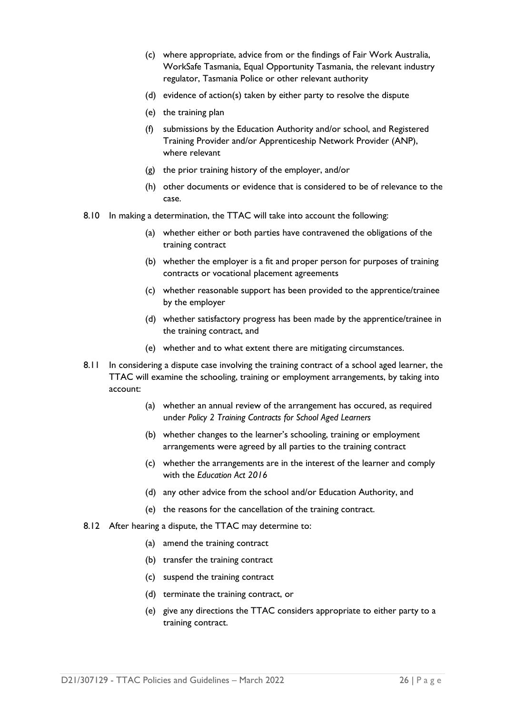- (c) where appropriate, advice from or the findings of Fair Work Australia, WorkSafe Tasmania, Equal Opportunity Tasmania, the relevant industry regulator, Tasmania Police or other relevant authority
- (d) evidence of action(s) taken by either party to resolve the dispute
- (e) the training plan
- (f) submissions by the Education Authority and/or school, and Registered Training Provider and/or Apprenticeship Network Provider (ANP), where relevant
- (g) the prior training history of the employer, and/or
- (h) other documents or evidence that is considered to be of relevance to the case.
- 8.10 In making a determination, the TTAC will take into account the following:
	- (a) whether either or both parties have contravened the obligations of the training contract
	- (b) whether the employer is a fit and proper person for purposes of training contracts or vocational placement agreements
	- (c) whether reasonable support has been provided to the apprentice/trainee by the employer
	- (d) whether satisfactory progress has been made by the apprentice/trainee in the training contract, and
	- (e) whether and to what extent there are mitigating circumstances.
- 8.11 In considering a dispute case involving the training contract of a school aged learner, the TTAC will examine the schooling, training or employment arrangements, by taking into account:
	- (a) whether an annual review of the arrangement has occured, as required under *Policy 2 Training Contracts for School Aged Learners*
	- (b) whether changes to the learner's schooling, training or employment arrangements were agreed by all parties to the training contract
	- (c) whether the arrangements are in the interest of the learner and comply with the *Education Act 2016*
	- (d) any other advice from the school and/or Education Authority, and
	- (e) the reasons for the cancellation of the training contract.
- 8.12 After hearing a dispute, the TTAC may determine to:
	- (a) amend the training contract
	- (b) transfer the training contract
	- (c) suspend the training contract
	- (d) terminate the training contract, or
	- (e) give any directions the TTAC considers appropriate to either party to a training contract.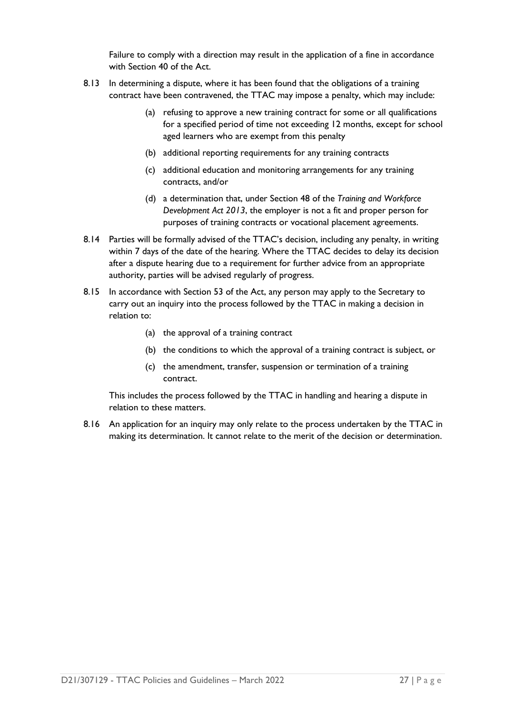Failure to comply with a direction may result in the application of a fine in accordance with Section 40 of the Act.

- 8.13 In determining a dispute, where it has been found that the obligations of a training contract have been contravened, the TTAC may impose a penalty, which may include:
	- (a) refusing to approve a new training contract for some or all qualifications for a specified period of time not exceeding 12 months, except for school aged learners who are exempt from this penalty
	- (b) additional reporting requirements for any training contracts
	- (c) additional education and monitoring arrangements for any training contracts, and/or
	- (d) a determination that, under Section 48 of the *Training and Workforce Development Act 2013*, the employer is not a fit and proper person for purposes of training contracts or vocational placement agreements.
- 8.14 Parties will be formally advised of the TTAC's decision, including any penalty, in writing within 7 days of the date of the hearing. Where the TTAC decides to delay its decision after a dispute hearing due to a requirement for further advice from an appropriate authority, parties will be advised regularly of progress.
- 8.15 In accordance with Section 53 of the Act, any person may apply to the Secretary to carry out an inquiry into the process followed by the TTAC in making a decision in relation to:
	- (a) the approval of a training contract
	- (b) the conditions to which the approval of a training contract is subject, or
	- (c) the amendment, transfer, suspension or termination of a training contract.

This includes the process followed by the TTAC in handling and hearing a dispute in relation to these matters.

8.16 An application for an inquiry may only relate to the process undertaken by the TTAC in making its determination. It cannot relate to the merit of the decision or determination.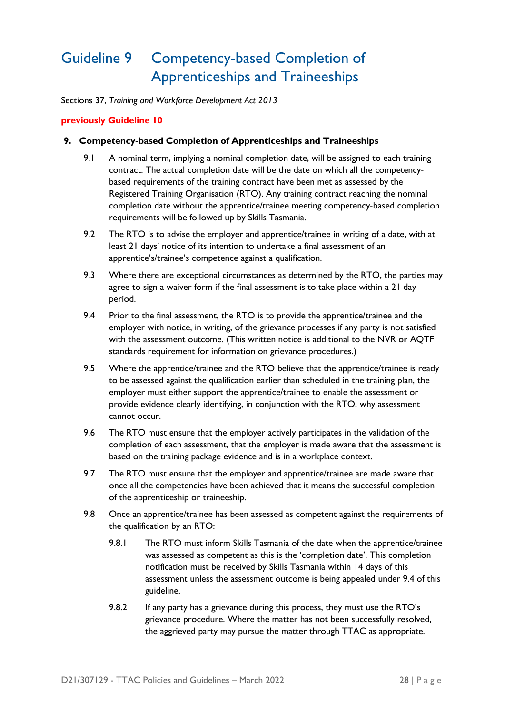### <span id="page-29-0"></span>Guideline 9 Competency-based Completion of Apprenticeships and Traineeships

Sections 37, *Training and Workforce Development Act 2013*

### **previously Guideline 10**

#### **9. Competency-based Completion of Apprenticeships and Traineeships**

- 9.1 A nominal term, implying a nominal completion date, will be assigned to each training contract. The actual completion date will be the date on which all the competency‐ based requirements of the training contract have been met as assessed by the Registered Training Organisation (RTO). Any training contract reaching the nominal completion date without the apprentice/trainee meeting competency‐based completion requirements will be followed up by Skills Tasmania.
- 9.2 The RTO is to advise the employer and apprentice/trainee in writing of a date, with at least 21 days' notice of its intention to undertake a final assessment of an apprentice's/trainee's competence against a qualification.
- 9.3 Where there are exceptional circumstances as determined by the RTO, the parties may agree to sign a waiver form if the final assessment is to take place within a 21 day period.
- 9.4 Prior to the final assessment, the RTO is to provide the apprentice/trainee and the employer with notice, in writing, of the grievance processes if any party is not satisfied with the assessment outcome. (This written notice is additional to the NVR or AQTF standards requirement for information on grievance procedures.)
- 9.5 Where the apprentice/trainee and the RTO believe that the apprentice/trainee is ready to be assessed against the qualification earlier than scheduled in the training plan, the employer must either support the apprentice/trainee to enable the assessment or provide evidence clearly identifying, in conjunction with the RTO, why assessment cannot occur.
- 9.6 The RTO must ensure that the employer actively participates in the validation of the completion of each assessment, that the employer is made aware that the assessment is based on the training package evidence and is in a workplace context.
- 9.7 The RTO must ensure that the employer and apprentice/trainee are made aware that once all the competencies have been achieved that it means the successful completion of the apprenticeship or traineeship.
- 9.8 Once an apprentice/trainee has been assessed as competent against the requirements of the qualification by an RTO:
	- 9.8.1 The RTO must inform Skills Tasmania of the date when the apprentice/trainee was assessed as competent as this is the 'completion date'. This completion notification must be received by Skills Tasmania within 14 days of this assessment unless the assessment outcome is being appealed under 9.4 of this guideline.
	- 9.8.2 If any party has a grievance during this process, they must use the RTO's grievance procedure. Where the matter has not been successfully resolved, the aggrieved party may pursue the matter through TTAC as appropriate.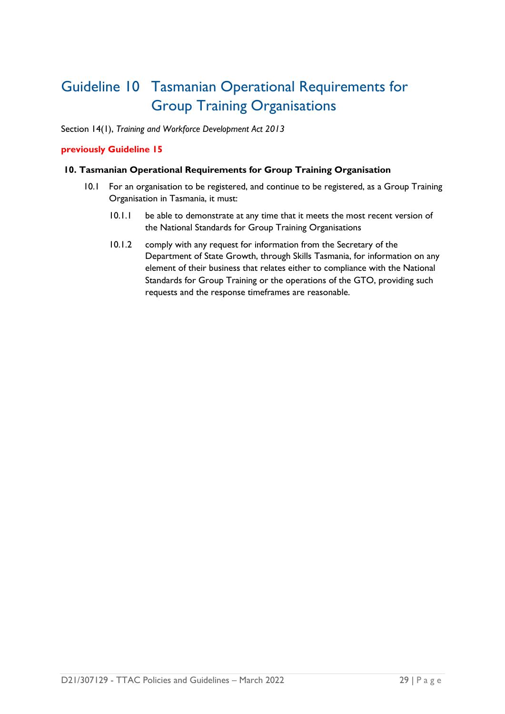### <span id="page-30-0"></span>Guideline 10 Tasmanian Operational Requirements for Group Training Organisations

Section 14(1), *Training and Workforce Development Act 2013*

### **previously Guideline 15**

### **10. Tasmanian Operational Requirements for Group Training Organisation**

- 10.1 For an organisation to be registered, and continue to be registered, as a Group Training Organisation in Tasmania, it must:
	- 10.1.1 be able to demonstrate at any time that it meets the most recent version of the National Standards for Group Training Organisations
	- 10.1.2 comply with any request for information from the Secretary of the Department of State Growth, through Skills Tasmania, for information on any element of their business that relates either to compliance with the National Standards for Group Training or the operations of the GTO, providing such requests and the response timeframes are reasonable.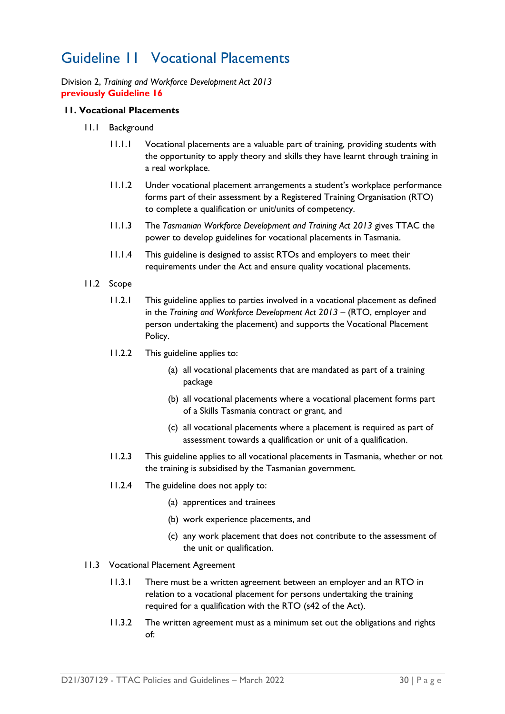### <span id="page-31-0"></span>Guideline 11 Vocational Placements

Division 2, *Training and Workforce Development Act 2013* **previously Guideline 16**

### **11. Vocational Placements**

- 11.1 Background
	- 11.1.1 Vocational placements are a valuable part of training, providing students with the opportunity to apply theory and skills they have learnt through training in a real workplace.
	- 11.1.2 Under vocational placement arrangements a student's workplace performance forms part of their assessment by a Registered Training Organisation (RTO) to complete a qualification or unit/units of competency.
	- 11.1.3 The *Tasmanian Workforce Development and Training Act 2013* gives TTAC the power to develop guidelines for vocational placements in Tasmania.
	- 11.1.4 This guideline is designed to assist RTOs and employers to meet their requirements under the Act and ensure quality vocational placements.
- 11.2 Scope
	- 11.2.1 This guideline applies to parties involved in a vocational placement as defined in the *Training and Workforce Development Act 2013* – (RTO, employer and person undertaking the placement) and supports the Vocational Placement Policy.
	- 11.2.2 This guideline applies to:
		- (a) all vocational placements that are mandated as part of a training package
		- (b) all vocational placements where a vocational placement forms part of a Skills Tasmania contract or grant, and
		- (c) all vocational placements where a placement is required as part of assessment towards a qualification or unit of a qualification.
	- 11.2.3 This guideline applies to all vocational placements in Tasmania, whether or not the training is subsidised by the Tasmanian government.
	- 11.2.4 The guideline does not apply to:
		- (a) apprentices and trainees
		- (b) work experience placements, and
		- (c) any work placement that does not contribute to the assessment of the unit or qualification.
- 11.3 Vocational Placement Agreement
	- 11.3.1 There must be a written agreement between an employer and an RTO in relation to a vocational placement for persons undertaking the training required for a qualification with the RTO (s42 of the Act).
	- 11.3.2 The written agreement must as a minimum set out the obligations and rights of: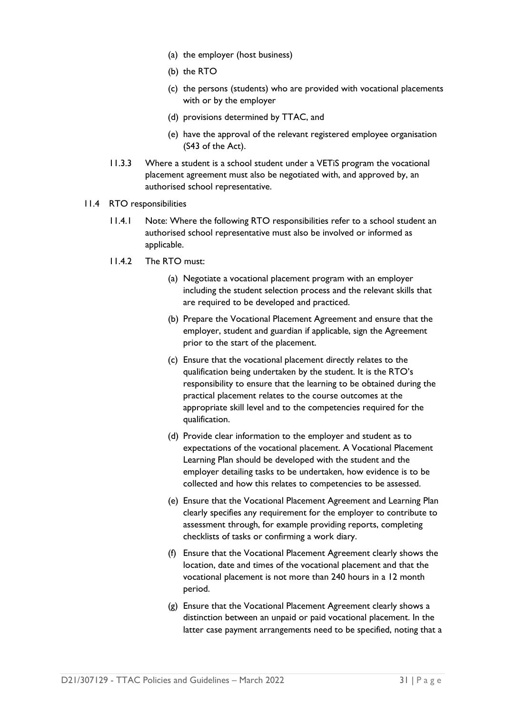- (a) the employer (host business)
- (b) the RTO
- (c) the persons (students) who are provided with vocational placements with or by the employer
- (d) provisions determined by TTAC, and
- (e) have the approval of the relevant registered employee organisation (S43 of the Act).
- 11.3.3 Where a student is a school student under a VETiS program the vocational placement agreement must also be negotiated with, and approved by, an authorised school representative.
- 11.4 RTO responsibilities
	- 11.4.1 Note: Where the following RTO responsibilities refer to a school student an authorised school representative must also be involved or informed as applicable.
	- 11.4.2 The RTO must:
		- (a) Negotiate a vocational placement program with an employer including the student selection process and the relevant skills that are required to be developed and practiced.
		- (b) Prepare the Vocational Placement Agreement and ensure that the employer, student and guardian if applicable, sign the Agreement prior to the start of the placement.
		- (c) Ensure that the vocational placement directly relates to the qualification being undertaken by the student. It is the RTO's responsibility to ensure that the learning to be obtained during the practical placement relates to the course outcomes at the appropriate skill level and to the competencies required for the qualification.
		- (d) Provide clear information to the employer and student as to expectations of the vocational placement. A Vocational Placement Learning Plan should be developed with the student and the employer detailing tasks to be undertaken, how evidence is to be collected and how this relates to competencies to be assessed.
		- (e) Ensure that the Vocational Placement Agreement and Learning Plan clearly specifies any requirement for the employer to contribute to assessment through, for example providing reports, completing checklists of tasks or confirming a work diary.
		- (f) Ensure that the Vocational Placement Agreement clearly shows the location, date and times of the vocational placement and that the vocational placement is not more than 240 hours in a 12 month period.
		- (g) Ensure that the Vocational Placement Agreement clearly shows a distinction between an unpaid or paid vocational placement. In the latter case payment arrangements need to be specified, noting that a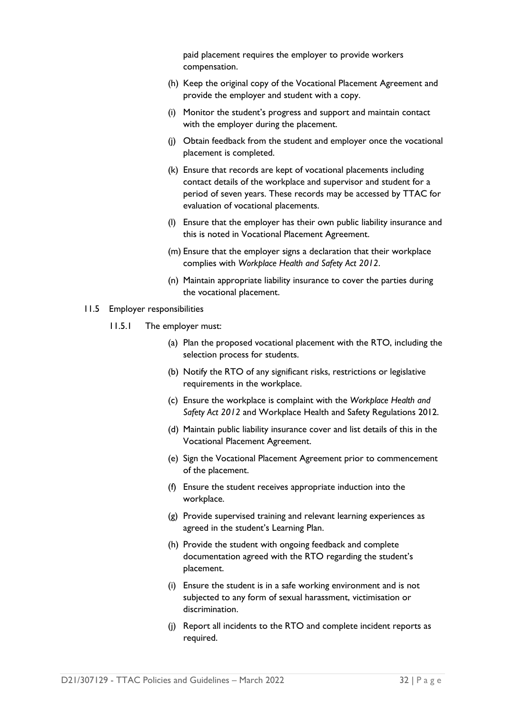paid placement requires the employer to provide workers compensation.

- (h) Keep the original copy of the Vocational Placement Agreement and provide the employer and student with a copy.
- (i) Monitor the student's progress and support and maintain contact with the employer during the placement.
- (j) Obtain feedback from the student and employer once the vocational placement is completed.
- (k) Ensure that records are kept of vocational placements including contact details of the workplace and supervisor and student for a period of seven years. These records may be accessed by TTAC for evaluation of vocational placements.
- (l) Ensure that the employer has their own public liability insurance and this is noted in Vocational Placement Agreement.
- (m) Ensure that the employer signs a declaration that their workplace complies with *Workplace Health and Safety Act 2012*.
- (n) Maintain appropriate liability insurance to cover the parties during the vocational placement.

#### 11.5 Employer responsibilities

- 11.5.1 The employer must:
	- (a) Plan the proposed vocational placement with the RTO, including the selection process for students.
	- (b) Notify the RTO of any significant risks, restrictions or legislative requirements in the workplace.
	- (c) Ensure the workplace is complaint with the *Workplace Health and Safety Act 2012* and Workplace Health and Safety Regulations 2012.
	- (d) Maintain public liability insurance cover and list details of this in the Vocational Placement Agreement.
	- (e) Sign the Vocational Placement Agreement prior to commencement of the placement.
	- (f) Ensure the student receives appropriate induction into the workplace.
	- (g) Provide supervised training and relevant learning experiences as agreed in the student's Learning Plan.
	- (h) Provide the student with ongoing feedback and complete documentation agreed with the RTO regarding the student's placement.
	- (i) Ensure the student is in a safe working environment and is not subjected to any form of sexual harassment, victimisation or discrimination.
	- (j) Report all incidents to the RTO and complete incident reports as required.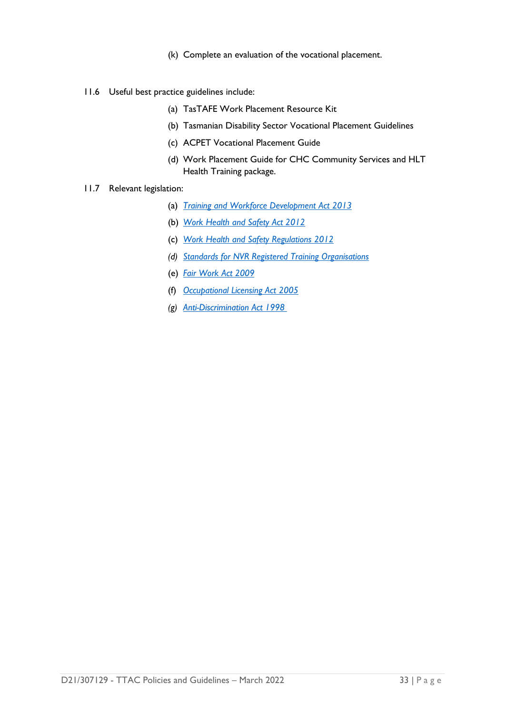- (k) Complete an evaluation of the vocational placement.
- 11.6 Useful best practice guidelines include:
	- (a) TasTAFE Work Placement Resource Kit
	- (b) Tasmanian Disability Sector Vocational Placement Guidelines
	- (c) ACPET Vocational Placement Guide
	- (d) Work Placement Guide for CHC Community Services and HLT Health Training package.
- 11.7 Relevant legislation:
	- (a) *[Training and Workforce Development Act 2013](https://www.legislation.tas.gov.au/view/html/inforce/current/act-2013-009)*
	- (b) *[Work Health and Safety Act 2012](https://www.legislation.tas.gov.au/view/html/inforce/current/act-2012-001)*
	- (c) *[Work Health and Safety Regulations 2012](https://www.legislation.tas.gov.au/view/html/inforce/current/sr-2012-122)*
	- *(d) [Standards for NVR Registered Training Organisations](https://www.legislation.gov.au/Details/F2013L00167)*
	- (e) *[Fair Work Act 2009](https://www.legislation.gov.au/Details/C2017C00323)*
	- (f) *[Occupational Licensing Act 2005](https://www.legislation.tas.gov.au/view/html/inforce/2017-01-01/act-2005-047)*
	- *(g) [Anti-Discrimination Act 1998](https://www.legislation.tas.gov.au/view/html/inforce/current/act-1998-046)*